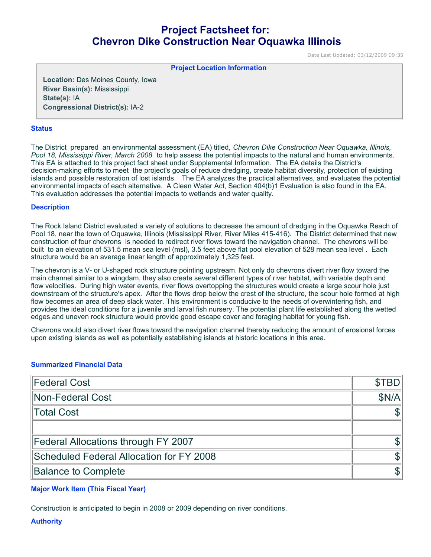# **Project Factsheet for: Chevron Dike Construction Near Oquawka Illinois**

Date Last Updated: 03/12/2009 09:35

**Project Location Information** 

**Location:** Des Moines County, Iowa **River Basin(s):** Mississippi **State(s):** IA **Congressional District(s):** IA-2

### **Status**

The District prepared an environmental assessment (EA) titled, *Chevron Dike Construction Near Oquawka, Illinois, Pool 18, Mississippi River, March 2008*  to help assess the potential impacts to the natural and human environments. This EA is attached to this project fact sheet under Supplemental Information. The EA details the District's decision-making efforts to meet the project's goals of reduce dredging, create habitat diversity, protection of existing islands and possible restoration of lost islands. The EA analyzes the practical alternatives, and evaluates the potential environmental impacts of each alternative. A Clean Water Act, Section 404(b)1 Evaluation is also found in the EA. This evaluation addresses the potential impacts to wetlands and water quality.

### **Description**

The Rock Island District evaluated a variety of solutions to decrease the amount of dredging in the Oquawka Reach of Pool 18, near the town of Oquawka, Illinois (Mississippi River, River Miles 415-416). The District determined that new construction of four chevrons is needed to redirect river flows toward the navigation channel. The chevrons will be built to an elevation of 531.5 mean sea level (msl), 3.5 feet above flat pool elevation of 528 mean sea level . Each structure would be an average linear length of approximately 1,325 feet.

The chevron is a V- or U-shaped rock structure pointing upstream. Not only do chevrons divert river flow toward the main channel similar to a wingdam, they also create several different types of river habitat, with variable depth and flow velocities. During high water events, river flows overtopping the structures would create a large scour hole just downstream of the structure's apex. After the flows drop below the crest of the structure, the scour hole formed at high flow becomes an area of deep slack water. This environment is conducive to the needs of overwintering fish, and provides the ideal conditions for a juvenile and larval fish nursery. The potential plant life established along the wetted edges and uneven rock structure would provide good escape cover and foraging habitat for young fish.

Chevrons would also divert river flows toward the navigation channel thereby reducing the amount of erosional forces upon existing islands as well as potentially establishing islands at historic locations in this area.

# **Summarized Financial Data**

| Federal Cost                             | <b>STBDI</b> |
|------------------------------------------|--------------|
| Non-Federal Cost                         | SN/Al        |
| Total Cost                               |              |
|                                          |              |
| Federal Allocations through FY 2007      |              |
| Scheduled Federal Allocation for FY 2008 |              |
| <b>Balance to Complete</b>               |              |

# **Major Work Item (This Fiscal Year)**

Construction is anticipated to begin in 2008 or 2009 depending on river conditions.

**Authority**